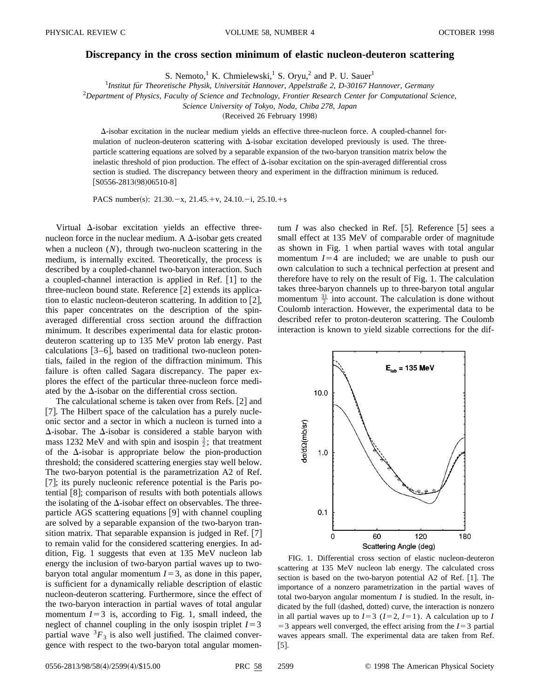## **Discrepancy in the cross section minimum of elastic nucleon-deuteron scattering**

S. Nemoto,<sup>1</sup> K. Chmielewski,<sup>1</sup> S. Oryu,<sup>2</sup> and P. U. Sauer<sup>1</sup>

<sup>1</sup> Institut für Theoretische Physik, Universität Hannover, Appelstraße 2, D-30167 Hannover, Germany

2 *Department of Physics, Faculty of Science and Technology, Frontier Research Center for Computational Science,*

*Science University of Tokyo, Noda, Chiba 278, Japan*

(Received 26 February 1998)

 $\Delta$ -isobar excitation in the nuclear medium yields an effective three-nucleon force. A coupled-channel formulation of nucleon-deuteron scattering with  $\Delta$ -isobar excitation developed previously is used. The threeparticle scattering equations are solved by a separable expansion of the two-baryon transition matrix below the inelastic threshold of pion production. The effect of  $\Delta$ -isobar excitation on the spin-averaged differential cross section is studied. The discrepancy between theory and experiment in the diffraction minimum is reduced.  $[$ S0556-2813(98)06510-8]

PACS number(s):  $21.30 - x$ ,  $21.45 + v$ ,  $24.10 - i$ ,  $25.10 + s$ 

Virtual  $\Delta$ -isobar excitation yields an effective threenucleon force in the nuclear medium. A  $\Delta$ -isobar gets created when a nucleon  $(N)$ , through two-nucleon scattering in the medium, is internally excited. Theoretically, the process is described by a coupled-channel two-baryon interaction. Such a coupled-channel interaction is applied in Ref.  $[1]$  to the three-nucleon bound state. Reference  $[2]$  extends its application to elastic nucleon-deuteron scattering. In addition to  $[2]$ , this paper concentrates on the description of the spinaveraged differential cross section around the diffraction minimum. It describes experimental data for elastic protondeuteron scattering up to 135 MeV proton lab energy. Past calculations  $[3-6]$ , based on traditional two-nucleon potentials, failed in the region of the diffraction minimum. This failure is often called Sagara discrepancy. The paper explores the effect of the particular three-nucleon force mediated by the  $\Delta$ -isobar on the differential cross section.

The calculational scheme is taken over from Refs.  $[2]$  and [7]. The Hilbert space of the calculation has a purely nucleonic sector and a sector in which a nucleon is turned into a  $\Delta$ -isobar. The  $\Delta$ -isobar is considered a stable baryon with mass 1232 MeV and with spin and isospin  $\frac{3}{2}$ ; that treatment of the  $\Delta$ -isobar is appropriate below the pion-production threshold; the considered scattering energies stay well below. The two-baryon potential is the parametrization A2 of Ref.  $[7]$ ; its purely nucleonic reference potential is the Paris potential  $|8|$ ; comparison of results with both potentials allows the isolating of the  $\Delta$ -isobar effect on observables. The threeparticle AGS scattering equations  $[9]$  with channel coupling are solved by a separable expansion of the two-baryon transition matrix. That separable expansion is judged in Ref.  $[7]$ to remain valid for the considered scattering energies. In addition, Fig. 1 suggests that even at 135 MeV nucleon lab energy the inclusion of two-baryon partial waves up to twobaryon total angular momentum  $I=3$ , as done in this paper, is sufficient for a dynamically reliable description of elastic nucleon-deuteron scattering. Furthermore, since the effect of the two-baryon interaction in partial waves of total angular momentum  $I=3$  is, according to Fig. 1, small indeed, the neglect of channel coupling in the only isospin triplet  $I=3$ partial wave  ${}^{3}F_{3}$  is also well justified. The claimed convergence with respect to the two-baryon total angular momentum *I* was also checked in Ref. [5]. Reference  $\begin{bmatrix} 5 \end{bmatrix}$  sees a small effect at 135 MeV of comparable order of magnitude as shown in Fig. 1 when partial waves with total angular momentum  $I=4$  are included; we are unable to push our own calculation to such a technical perfection at present and therefore have to rely on the result of Fig. 1. The calculation takes three-baryon channels up to three-baryon total angular momentum  $\frac{31}{2}$  into account. The calculation is done without Coulomb interaction. However, the experimental data to be described refer to proton-deuteron scattering. The Coulomb interaction is known to yield sizable corrections for the dif-



FIG. 1. Differential cross section of elastic nucleon-deuteron scattering at 135 MeV nucleon lab energy. The calculated cross section is based on the two-baryon potential  $A2$  of Ref. [1]. The importance of a nonzero parametrization in the partial waves of total two-baryon angular momentum *I* is studied. In the result, indicated by the full (dashed, dotted) curve, the interaction is nonzero in all partial waves up to  $I=3$  ( $I=2$ ,  $I=1$ ). A calculation up to *I*  $=$  3 appears well converged, the effect arising from the *I* $=$  3 partial waves appears small. The experimental data are taken from Ref.  $[5]$ .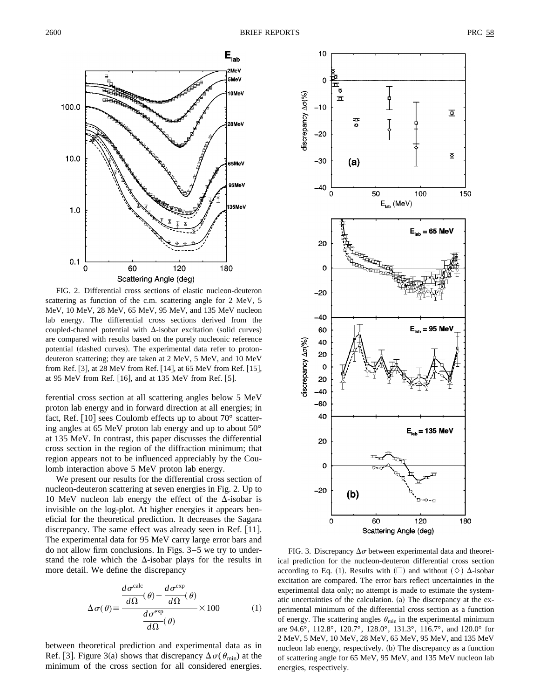

FIG. 2. Differential cross sections of elastic nucleon-deuteron scattering as function of the c.m. scattering angle for 2 MeV, 5 MeV, 10 MeV, 28 MeV, 65 MeV, 95 MeV, and 135 MeV nucleon lab energy. The differential cross sections derived from the coupled-channel potential with  $\Delta$ -isobar excitation (solid curves) are compared with results based on the purely nucleonic reference potential (dashed curves). The experimental data refer to protondeuteron scattering; they are taken at 2 MeV, 5 MeV, and 10 MeV from Ref. [3], at 28 MeV from Ref. [14], at 65 MeV from Ref. [15], at 95 MeV from Ref.  $[16]$ , and at 135 MeV from Ref.  $[5]$ .

ferential cross section at all scattering angles below 5 MeV proton lab energy and in forward direction at all energies; in fact, Ref.  $[10]$  sees Coulomb effects up to about  $70^{\circ}$  scattering angles at 65 MeV proton lab energy and up to about 50° at 135 MeV. In contrast, this paper discusses the differential cross section in the region of the diffraction minimum; that region appears not to be influenced appreciably by the Coulomb interaction above 5 MeV proton lab energy.

We present our results for the differential cross section of nucleon-deuteron scattering at seven energies in Fig. 2. Up to 10 MeV nucleon lab energy the effect of the  $\Delta$ -isobar is invisible on the log-plot. At higher energies it appears beneficial for the theoretical prediction. It decreases the Sagara discrepancy. The same effect was already seen in Ref.  $[11]$ . The experimental data for 95 MeV carry large error bars and do not allow firm conclusions. In Figs. 3–5 we try to understand the role which the  $\Delta$ -isobar plays for the results in more detail. We define the discrepancy

$$
\Delta \sigma(\theta) \equiv \frac{\frac{d\sigma^{\text{calc}}}{d\Omega}(\theta) - \frac{d\sigma^{\text{exp}}}{d\Omega}(\theta)}{\frac{d\sigma^{\text{exp}}}{d\Omega}(\theta)} \times 100 \tag{1}
$$

between theoretical prediction and experimental data as in Ref. [3]. Figure 3(a) shows that discrepancy  $\Delta \sigma(\theta_{\min})$  at the minimum of the cross section for all considered energies.



FIG. 3. Discrepancy  $\Delta \sigma$  between experimental data and theoretical prediction for the nucleon-deuteron differential cross section according to Eq. (1). Results with  $(\Box)$  and without  $(\Diamond)$   $\Delta$ -isobar excitation are compared. The error bars reflect uncertainties in the experimental data only; no attempt is made to estimate the systematic uncertainties of the calculation.  $(a)$  The discrepancy at the experimental minimum of the differential cross section as a function of energy. The scattering angles  $\theta_{\min}$  in the experimental minimum are 94.6°, 112.8°, 120.7°, 128.0°, 131.3°, 116.7°, and 120.0° for 2 MeV, 5 MeV, 10 MeV, 28 MeV, 65 MeV, 95 MeV, and 135 MeV nucleon lab energy, respectively. (b) The discrepancy as a function of scattering angle for 65 MeV, 95 MeV, and 135 MeV nucleon lab energies, respectively.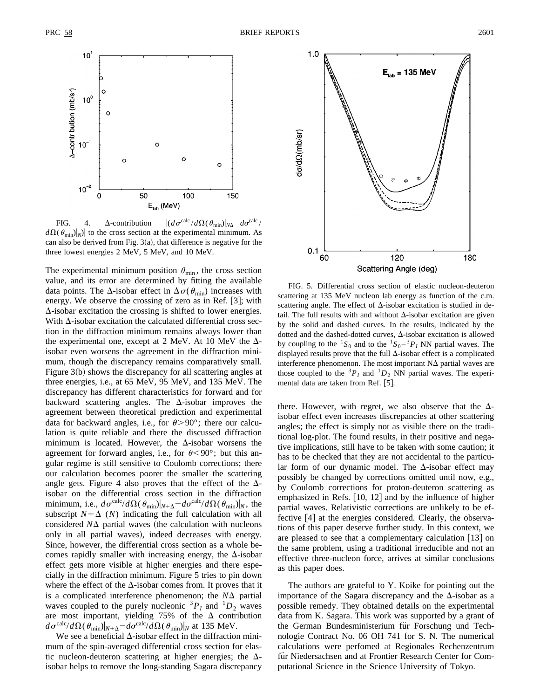

FIG. 4.  $\Delta$ -contribution  $\left| \frac{d\sigma^{\text{calc}}}{d\Omega(\theta_{\text{min}})} \right|_{N\Delta} - d\sigma^{\text{calc}}/$  $d\Omega(\theta_{\text{min}})|_N$  to the cross section at the experimental minimum. As can also be derived from Fig.  $3(a)$ , that difference is negative for the three lowest energies 2 MeV, 5 MeV, and 10 MeV.

The experimental minimum position  $\theta_{\min}$ , the cross section value, and its error are determined by fitting the available data points. The  $\Delta$ -isobar effect in  $\Delta \sigma(\theta_{\rm min})$  increases with energy. We observe the crossing of zero as in Ref.  $[3]$ ; with  $\Delta$ -isobar excitation the crossing is shifted to lower energies. With  $\Delta$ -isobar excitation the calculated differential cross section in the diffraction minimum remains always lower than the experimental one, except at 2 MeV. At 10 MeV the  $\Delta$ isobar even worsens the agreement in the diffraction minimum, though the discrepancy remains comparatively small. Figure  $3(b)$  shows the discrepancy for all scattering angles at three energies, i.e., at 65 MeV, 95 MeV, and 135 MeV. The discrepancy has different characteristics for forward and for backward scattering angles. The  $\Delta$ -isobar improves the agreement between theoretical prediction and experimental data for backward angles, i.e., for  $\theta > 90^{\circ}$ ; there our calculation is quite reliable and there the discussed diffraction minimum is located. However, the  $\Delta$ -isobar worsens the agreement for forward angles, i.e., for  $\theta \le 90^{\circ}$ ; but this angular regime is still sensitive to Coulomb corrections; there our calculation becomes poorer the smaller the scattering angle gets. Figure 4 also proves that the effect of the  $\Delta$ isobar on the differential cross section in the diffraction minimum, i.e.,  $d\sigma^{\text{calc}}/d\Omega(\theta_{\text{min}})|_{N+\Delta} - d\sigma^{\text{calc}}/d\Omega(\theta_{\text{min}})|_N$ , the subscript  $N + \Delta$  (*N*) indicating the full calculation with all considered  $N\Delta$  partial waves (the calculation with nucleons only in all partial waves), indeed decreases with energy. Since, however, the differential cross section as a whole becomes rapidly smaller with increasing energy, the  $\Delta$ -isobar effect gets more visible at higher energies and there especially in the diffraction minimum. Figure 5 tries to pin down where the effect of the  $\Delta$ -isobar comes from. It proves that it is a complicated interference phenomenon; the  $N\Delta$  partial waves coupled to the purely nucleonic  ${}^{3}P_{I}$  and  ${}^{1}D_{2}$  waves are most important, yielding 75% of the  $\Delta$  contribution  $d\sigma^{\text{calc}}/d\Omega(\theta_{\text{min}})|_{N+\Delta} - d\sigma^{\text{calc}}/d\Omega(\theta_{\text{min}})|_N$  at 135 MeV.

We see a beneficial  $\Delta$ -isobar effect in the diffraction minimum of the spin-averaged differential cross section for elastic nucleon-deuteron scattering at higher energies; the  $\Delta$ isobar helps to remove the long-standing Sagara discrepancy



FIG. 5. Differential cross section of elastic nucleon-deuteron scattering at 135 MeV nucleon lab energy as function of the c.m. scattering angle. The effect of  $\Delta$ -isobar excitation is studied in detail. The full results with and without  $\Delta$ -isobar excitation are given by the solid and dashed curves. In the results, indicated by the dotted and the dashed-dotted curves,  $\Delta$ -isobar excitation is allowed by coupling to the  ${}^{1}S_0$  and to the  ${}^{1}S_0 - {}^{3}P_I$  NN partial waves. The displayed results prove that the full  $\Delta$ -isobar effect is a complicated interference phenomenon. The most important  $N\Delta$  partial waves are those coupled to the  ${}^{3}P_{I}$  and  ${}^{1}D_{2}$  NN partial waves. The experimental data are taken from Ref. [5].

there. However, with regret, we also observe that the  $\Delta$ isobar effect even increases discrepancies at other scattering angles; the effect is simply not as visible there on the traditional log-plot. The found results, in their positive and negative implications, still have to be taken with some caution; it has to be checked that they are not accidental to the particular form of our dynamic model. The  $\Delta$ -isobar effect may possibly be changed by corrections omitted until now, e.g., by Coulomb corrections for proton-deuteron scattering as emphasized in Refs.  $[10, 12]$  and by the influence of higher partial waves. Relativistic corrections are unlikely to be effective  $[4]$  at the energies considered. Clearly, the observations of this paper deserve further study. In this context, we are pleased to see that a complementary calculation  $[13]$  on the same problem, using a traditional irreducible and not an effective three-nucleon force, arrives at similar conclusions as this paper does.

The authors are grateful to Y. Koike for pointing out the importance of the Sagara discrepancy and the  $\Delta$ -isobar as a possible remedy. They obtained details on the experimental data from K. Sagara. This work was supported by a grant of the German Bundesministerium für Forschung und Technologie Contract No. 06 OH 741 for S. N. The numerical calculations were perfomed at Regionales Rechenzentrum für Niedersachsen and at Frontier Research Center for Computational Science in the Science University of Tokyo.